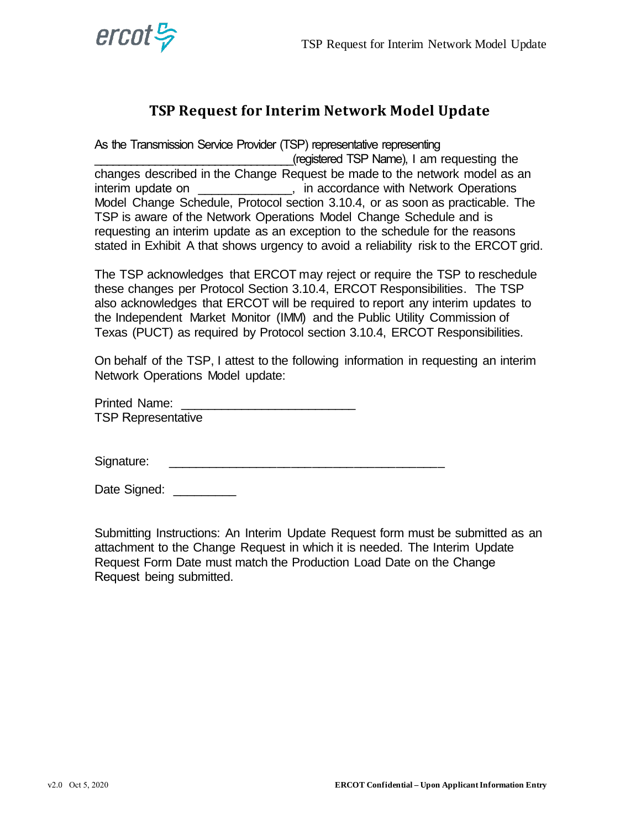

## **TSP Request for Interim Network Model Update**

As the Transmission Service Provider (TSP) representative representing

\_\_\_\_\_\_\_\_\_\_\_\_\_\_\_\_\_\_\_\_\_\_\_\_\_\_\_\_\_\_\_\_\_(registered TSP Name), I am requesting the changes described in the Change Request be made to the network model as an interim update on  $\qquad \qquad$ , in accordance with Network Operations Model Change Schedule, Protocol section 3.10.4, or as soon as practicable. The TSP is aware of the Network Operations Model Change Schedule and is requesting an interim update as an exception to the schedule for the reasons stated in Exhibit A that shows urgency to avoid a reliability risk to the ERCOT grid.

The TSP acknowledges that ERCOT may reject or require the TSP to reschedule these changes per Protocol Section 3.10.4, ERCOT Responsibilities. The TSP also acknowledges that ERCOT will be required to report any interim updates to the Independent Market Monitor (IMM) and the Public Utility Commission of Texas (PUCT) as required by Protocol section 3.10.4, ERCOT Responsibilities.

On behalf of the TSP, I attest to the following information in requesting an interim Network Operations Model update:

| <b>Printed Name:</b>      |  |
|---------------------------|--|
| <b>TSP Representative</b> |  |

Signature: \_\_\_\_\_\_\_\_\_\_\_\_\_\_\_\_\_\_\_\_\_\_\_\_\_\_\_\_\_\_\_\_\_\_\_\_\_\_\_\_

Date Signed:

Submitting Instructions: An Interim Update Request form must be submitted as an attachment to the Change Request in which it is needed. The Interim Update Request Form Date must match the Production Load Date on the Change Request being submitted.